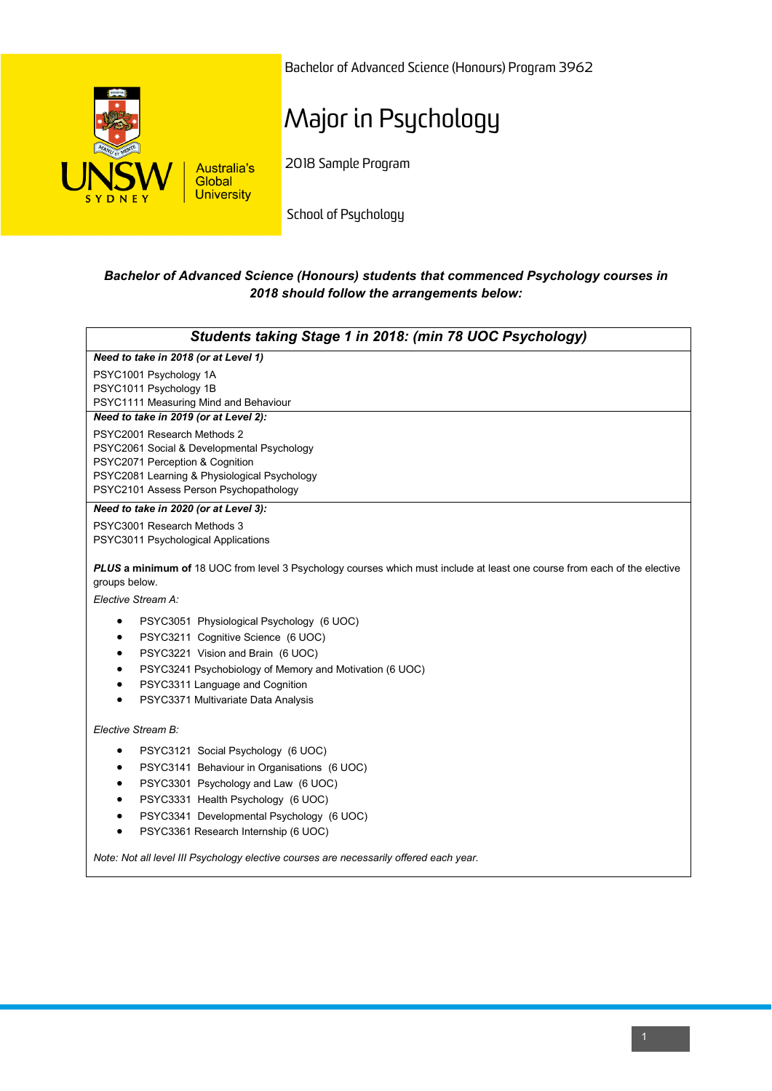

Bachelor of Advanced Science (Honours) Program 3962

## Major in Psychology

2018 Sample Program

School of Psychology

## *Bachelor of Advanced Science (Honours) students that commenced Psychology courses in 2018 should follow the arrangements below:*

| Students taking Stage 1 in 2018: (min 78 UOC Psychology)                                                                                                         |
|------------------------------------------------------------------------------------------------------------------------------------------------------------------|
| Need to take in 2018 (or at Level 1)                                                                                                                             |
| PSYC1001 Psychology 1A                                                                                                                                           |
| PSYC1011 Psychology 1B                                                                                                                                           |
| PSYC1111 Measuring Mind and Behaviour                                                                                                                            |
| Need to take in 2019 (or at Level 2):                                                                                                                            |
| PSYC2001 Research Methods 2                                                                                                                                      |
| PSYC2061 Social & Developmental Psychology<br>PSYC2071 Perception & Cognition                                                                                    |
| PSYC2081 Learning & Physiological Psychology                                                                                                                     |
| PSYC2101 Assess Person Psychopathology                                                                                                                           |
| Need to take in 2020 (or at Level 3):                                                                                                                            |
| PSYC3001 Research Methods 3                                                                                                                                      |
| PSYC3011 Psychological Applications                                                                                                                              |
| PLUS a minimum of 18 UOC from level 3 Psychology courses which must include at least one course from each of the elective<br>groups below.<br>Elective Stream A: |
| PSYC3051 Physiological Psychology (6 UOC)<br>٠                                                                                                                   |
| PSYC3211 Cognitive Science (6 UOC)<br>٠                                                                                                                          |
| PSYC3221 Vision and Brain (6 UOC)<br>$\bullet$                                                                                                                   |
| PSYC3241 Psychobiology of Memory and Motivation (6 UOC)<br>$\bullet$                                                                                             |
| PSYC3311 Language and Cognition<br>$\bullet$                                                                                                                     |
| PSYC3371 Multivariate Data Analysis<br>$\bullet$                                                                                                                 |
| Elective Stream B:                                                                                                                                               |
| PSYC3121 Social Psychology (6 UOC)<br>$\bullet$                                                                                                                  |
| PSYC3141 Behaviour in Organisations (6 UOC)<br>٠                                                                                                                 |
| PSYC3301 Psychology and Law (6 UOC)<br>$\bullet$                                                                                                                 |
| PSYC3331 Health Psychology (6 UOC)<br>$\bullet$                                                                                                                  |
| PSYC3341 Developmental Psychology (6 UOC)<br>$\bullet$                                                                                                           |
| PSYC3361 Research Internship (6 UOC)<br>$\bullet$                                                                                                                |
| Note: Not all level III Psychology elective courses are necessarily offered each year.                                                                           |